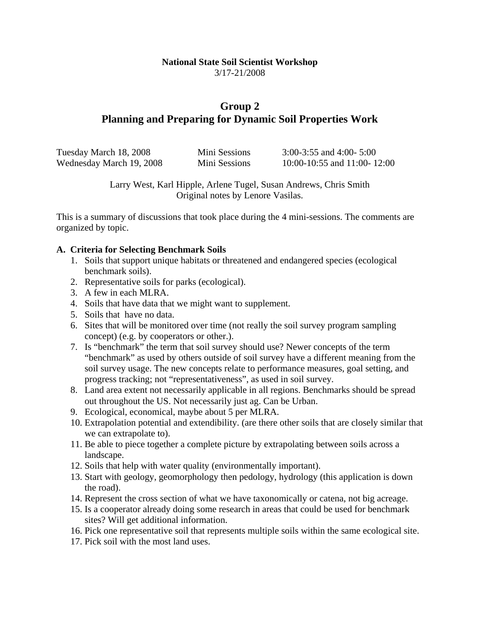#### **National State Soil Scientist Workshop**  3/17-21/2008

# **Group 2 Planning and Preparing for Dynamic Soil Properties Work**

| Tuesday March 18, 2008   | Mini Sessions | 3:00-3:55 and 4:00- 5:00    |
|--------------------------|---------------|-----------------------------|
| Wednesday March 19, 2008 | Mini Sessions | 10:00-10:55 and 11:00-12:00 |

Larry West, Karl Hipple, Arlene Tugel, Susan Andrews, Chris Smith Original notes by Lenore Vasilas.

This is a summary of discussions that took place during the 4 mini-sessions. The comments are organized by topic.

#### **A. Criteria for Selecting Benchmark Soils**

- 1. Soils that support unique habitats or threatened and endangered species (ecological benchmark soils).
- 2. Representative soils for parks (ecological).
- 3. A few in each MLRA.
- 4. Soils that have data that we might want to supplement.
- 5. Soils that have no data.
- 6. Sites that will be monitored over time (not really the soil survey program sampling concept) (e.g. by cooperators or other.).
- 7. Is "benchmark" the term that soil survey should use? Newer concepts of the term "benchmark" as used by others outside of soil survey have a different meaning from the soil survey usage. The new concepts relate to performance measures, goal setting, and progress tracking; not "representativeness", as used in soil survey.
- 8. Land area extent not necessarily applicable in all regions. Benchmarks should be spread out throughout the US. Not necessarily just ag. Can be Urban.
- 9. Ecological, economical, maybe about 5 per MLRA.
- 10. Extrapolation potential and extendibility. (are there other soils that are closely similar that we can extrapolate to).
- 11. Be able to piece together a complete picture by extrapolating between soils across a landscape.
- 12. Soils that help with water quality (environmentally important).
- 13. Start with geology, geomorphology then pedology, hydrology (this application is down the road).
- 14. Represent the cross section of what we have taxonomically or catena, not big acreage.
- 15. Is a cooperator already doing some research in areas that could be used for benchmark sites? Will get additional information.
- 16. Pick one representative soil that represents multiple soils within the same ecological site.
- 17. Pick soil with the most land uses.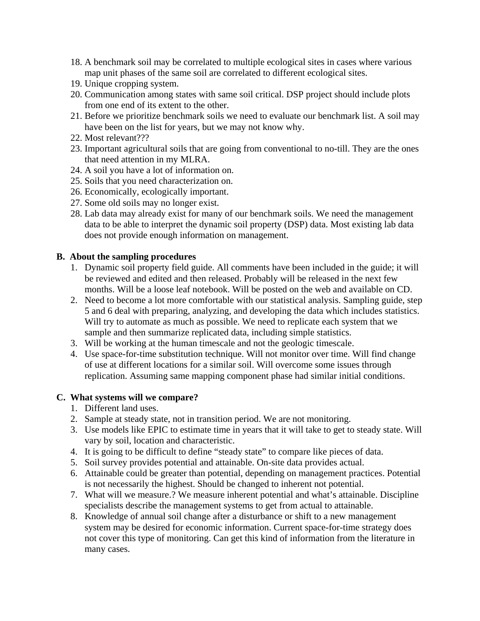- 18. A benchmark soil may be correlated to multiple ecological sites in cases where various map unit phases of the same soil are correlated to different ecological sites.
- 19. Unique cropping system.
- 20. Communication among states with same soil critical. DSP project should include plots from one end of its extent to the other.
- 21. Before we prioritize benchmark soils we need to evaluate our benchmark list. A soil may have been on the list for years, but we may not know why.
- 22. Most relevant???
- 23. Important agricultural soils that are going from conventional to no-till. They are the ones that need attention in my MLRA.
- 24. A soil you have a lot of information on.
- 25. Soils that you need characterization on.
- 26. Economically, ecologically important.
- 27. Some old soils may no longer exist.
- 28. Lab data may already exist for many of our benchmark soils. We need the management data to be able to interpret the dynamic soil property (DSP) data. Most existing lab data does not provide enough information on management.

#### **B. About the sampling procedures**

- 1. Dynamic soil property field guide. All comments have been included in the guide; it will be reviewed and edited and then released. Probably will be released in the next few months. Will be a loose leaf notebook. Will be posted on the web and available on CD.
- 2. Need to become a lot more comfortable with our statistical analysis. Sampling guide, step 5 and 6 deal with preparing, analyzing, and developing the data which includes statistics. Will try to automate as much as possible. We need to replicate each system that we sample and then summarize replicated data, including simple statistics.
- 3. Will be working at the human timescale and not the geologic timescale.
- 4. Use space-for-time substitution technique. Will not monitor over time. Will find change of use at different locations for a similar soil. Will overcome some issues through replication. Assuming same mapping component phase had similar initial conditions.

#### **C. What systems will we compare?**

- 1. Different land uses.
- 2. Sample at steady state, not in transition period. We are not monitoring.
- 3. Use models like EPIC to estimate time in years that it will take to get to steady state. Will vary by soil, location and characteristic.
- 4. It is going to be difficult to define "steady state" to compare like pieces of data.
- 5. Soil survey provides potential and attainable. On-site data provides actual.
- 6. Attainable could be greater than potential, depending on management practices. Potential is not necessarily the highest. Should be changed to inherent not potential.
- 7. What will we measure.? We measure inherent potential and what's attainable. Discipline specialists describe the management systems to get from actual to attainable.
- 8. Knowledge of annual soil change after a disturbance or shift to a new management system may be desired for economic information. Current space-for-time strategy does not cover this type of monitoring. Can get this kind of information from the literature in many cases.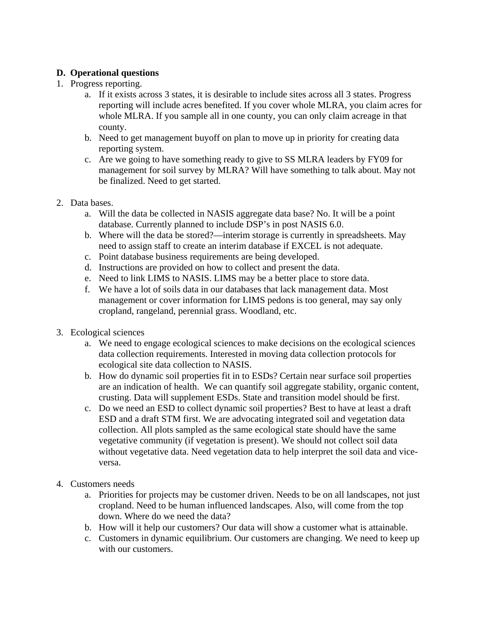## **D. Operational questions**

- 1. Progress reporting.
	- a. If it exists across 3 states, it is desirable to include sites across all 3 states. Progress reporting will include acres benefited. If you cover whole MLRA, you claim acres for whole MLRA. If you sample all in one county, you can only claim acreage in that county.
	- b. Need to get management buyoff on plan to move up in priority for creating data reporting system.
	- c. Are we going to have something ready to give to SS MLRA leaders by FY09 for management for soil survey by MLRA? Will have something to talk about. May not be finalized. Need to get started.
- 2. Data bases.
	- a. Will the data be collected in NASIS aggregate data base? No. It will be a point database. Currently planned to include DSP's in post NASIS 6.0.
	- b. Where will the data be stored?—interim storage is currently in spreadsheets. May need to assign staff to create an interim database if EXCEL is not adequate.
	- c. Point database business requirements are being developed.
	- d. Instructions are provided on how to collect and present the data.
	- e. Need to link LIMS to NASIS. LIMS may be a better place to store data.
	- f. We have a lot of soils data in our databases that lack management data. Most management or cover information for LIMS pedons is too general, may say only cropland, rangeland, perennial grass. Woodland, etc.
- 3. Ecological sciences
	- a. We need to engage ecological sciences to make decisions on the ecological sciences data collection requirements. Interested in moving data collection protocols for ecological site data collection to NASIS.
	- b. How do dynamic soil properties fit in to ESDs? Certain near surface soil properties are an indication of health. We can quantify soil aggregate stability, organic content, crusting. Data will supplement ESDs. State and transition model should be first.
	- c. Do we need an ESD to collect dynamic soil properties? Best to have at least a draft ESD and a draft STM first. We are advocating integrated soil and vegetation data collection. All plots sampled as the same ecological state should have the same vegetative community (if vegetation is present). We should not collect soil data without vegetative data. Need vegetation data to help interpret the soil data and viceversa.
- 4. Customers needs
	- a. Priorities for projects may be customer driven. Needs to be on all landscapes, not just cropland. Need to be human influenced landscapes. Also, will come from the top down. Where do we need the data?
	- b. How will it help our customers? Our data will show a customer what is attainable.
	- c. Customers in dynamic equilibrium. Our customers are changing. We need to keep up with our customers.